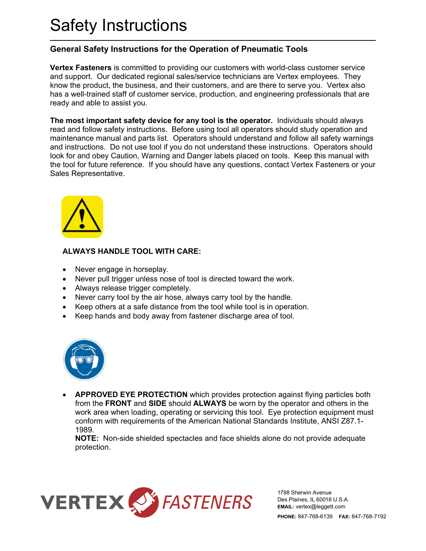## Safety Instructions

## **General Safety Instructions for the Operation of Pneumatic Tools**

**Vertex Fasteners** is committed to providing our customers with world-class customer service and support. Our dedicated regional sales/service technicians are Vertex employees. They know the product, the business, and their customers, and are there to serve you. Vertex also has a well-trained staff of customer service, production, and engineering professionals that are ready and able to assist you.

**The most important safety device for any tool is the operator.** Individuals should always read and follow safety instructions. Before using tool all operators should study operation and maintenance manual and parts list. Operators should understand and follow all safety warnings and instructions. Do not use tool if you do not understand these instructions. Operators should look for and obey Caution, Warning and Danger labels placed on tools. Keep this manual with the tool for future reference. If you should have any questions, contact Vertex Fasteners or your Sales Representative.



## **ALWAYS HANDLE TOOL WITH CARE:**

- Never engage in horseplay.
- Never pull trigger unless nose of tool is directed toward the work.
- Always release trigger completely.
- Never carry tool by the air hose, always carry tool by the handle.
- Keep others at a safe distance from the tool while tool is in operation.
- Keep hands and body away from fastener discharge area of tool.



• **APPROVED EYE PROTECTION** which provides protection against flying particles both from the **FRONT** and **SIDE** should **ALWAYS** be worn by the operator and others in the work area when loading, operating or servicing this tool. Eye protection equipment must conform with requirements of the American National Standards Institute, ANSI Z87.1- 1989.

**NOTE:** Non-side shielded spectacles and face shields alone do not provide adequate protection.



1798 Sherwin Avenue Des Plaines, IL 60018 U.S.A. **EMAIL:** vertex@leggett.com **PHONE:** 847-768-6139 **FAX:** 847-768-7192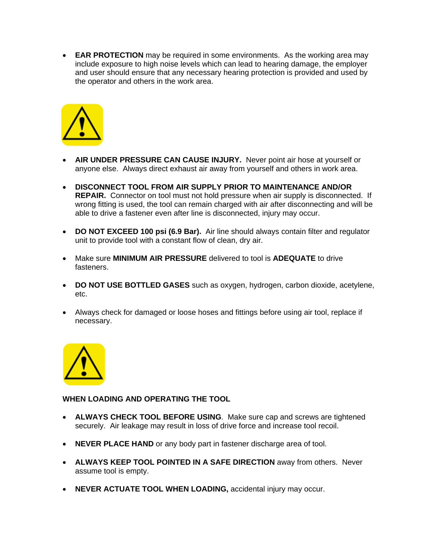• **EAR PROTECTION** may be required in some environments. As the working area may include exposure to high noise levels which can lead to hearing damage, the employer and user should ensure that any necessary hearing protection is provided and used by the operator and others in the work area.



- **AIR UNDER PRESSURE CAN CAUSE INJURY.** Never point air hose at yourself or anyone else. Always direct exhaust air away from yourself and others in work area.
- **DISCONNECT TOOL FROM AIR SUPPLY PRIOR TO MAINTENANCE AND/OR REPAIR.** Connector on tool must not hold pressure when air supply is disconnected. If wrong fitting is used, the tool can remain charged with air after disconnecting and will be able to drive a fastener even after line is disconnected, injury may occur.
- **DO NOT EXCEED 100 psi (6.9 Bar).** Air line should always contain filter and regulator unit to provide tool with a constant flow of clean, dry air.
- Make sure **MINIMUM AIR PRESSURE** delivered to tool is **ADEQUATE** to drive fasteners.
- **DO NOT USE BOTTLED GASES** such as oxygen, hydrogen, carbon dioxide, acetylene, etc.
- Always check for damaged or loose hoses and fittings before using air tool, replace if necessary.



## **WHEN LOADING AND OPERATING THE TOOL**

- **ALWAYS CHECK TOOL BEFORE USING**. Make sure cap and screws are tightened securely. Air leakage may result in loss of drive force and increase tool recoil.
- **NEVER PLACE HAND** or any body part in fastener discharge area of tool.
- **ALWAYS KEEP TOOL POINTED IN A SAFE DIRECTION** away from others. Never assume tool is empty.
- **NEVER ACTUATE TOOL WHEN LOADING,** accidental injury may occur.